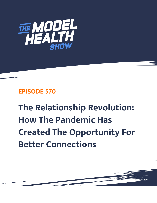

## **EPISODE 570**

**The Relationship Revolution: How The Pandemic Has Created The Opportunity For Better Connections**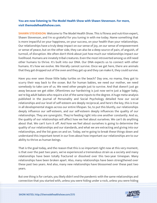## **You are now listening to The Model Health Show with Shawn Stevenson. For more, visit themodelhealthshow.com.**

**SHAWN STEVENSON:** Welcome to The Model Health Show. This is fitness and nutrition expert, Shawn Stevenson, and I'm so grateful for you tuning in with me today. Name something that is more impactful on your happiness, on your success, on your health than your relationships. Our relationships have a truly deep impact on our sense of joy, on our sense of empowerment or sense of peace, but on the other side, they can also be a deep source of pain, of anguish, of turmoil, of disruption. We often don't think about just how much our relationships impact our livelihood. Humans are innately tribal creatures. Even the most introverted among us still need other humans to thrive. It's built into our DNA. Our DNA expects us to connect with other humans. It's how we evolve. We literally cannot survive. Once we get here, there are animals that they get dropped out of the oven and they get up and they can make it, they could survive.

Have you ever seen those little baby turtles on the beach? Day one, no mama, they got to scurry their way back to the ocean. But for human babies, we need our mother, we need somebody to take care of us. We need other people just to survive. And that doesn't just go away because we get older. Oftentimes our hardwiring is just now we're just a bigger baby, we're big adult babies who require a lot of the same inputs to the degree. A huge meta-analysis published in the Journal of Personality and Social Psychology detailed how our social relationships and our level of self-esteem are deeply reciprocal, and here's the key, this is true in all developmental stages across our entire lifespan. So, to put this bluntly, our relationships deeply influence our self-esteem, and our self-esteem deeply influences the quality of our relationships. They are synergistic. They're feeding right into one another constantly. And so, the quality of our relationships will affect how we feel about ourselves. We can't do anything about that. We can't turn it off. And how we feel about ourselves is going to determine the quality of our relationships and our standards, and what we are extracting and giving into our relationships, and the list goes on and on. Today, we're going to break these things down and understand this important tenet in our lives about how important our relationships are to our ability to thrive as human beings.

That is the goal today, and the reason that this is so important right now at this very moment, is that over the past two years, we've experienced a tremendous strain as a society and many relationships have been totally fractured or dissolved over this two-year timespan. Many relationships have been broken apart. Also, many relationships have been strengthened over these past two years. And also, many new relationships have blossomed over these past two years.

But one thing is for certain, you likely didn't end the pandemic with the same relationships and [connection that you started with, unless you were hiding under a rock, unless](https://themodelhealthshow.com/relationship-revolution/) you were hiding

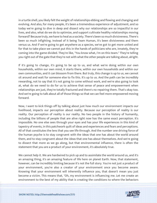in a turtle shell, you likely felt the weight of relationships ebbing and flowing and changing and evolving. And also, for many people, it's been a tremendous experience of adjustment, and so today we're going to dive in deep and dissect why our relationships are so impactful in our lives, and also, what do we do to optimize, and support cultivate healthy relationships moving forward? Because truly, we have to heal as a society. There's been so much divisiveness. There's been so much infighting. Instead of it being Team Human, it's been divisiveness and them versus us. And if we're going to get anywhere as a species, we've got to get more united and for that to take place we cannot put this in the hands of politicians who are, innately, they're coming into the game divided. They're like, "You know what, I'm on this team." They're telling you right out of the gate that they're not with what the other people are talking about, alright.

If it's going to change, it's going to be up to us, and what we're doing within our own households, within our own mind, it starts there, within our own households and within our own communities, and it can blossom from there. But truly, this change is up to us, we cannot sit around and wait for someone else to fix this. It's up to us. And the path can be incredibly rewarding, not to say that it's not going to come without work, and we're also going to look at, what do we need to do for us to achieve that sense of peace and empowerment when relationships are just, they're totally fractured and there's no repairing them. That's okay too. And we're going to talk about all of those things so that we can feel more empowered moving forward.

Now, I want to kick things off by talking about just how much our environment impacts our livelihood, impacts our perception about reality. Because our perception of reality is our reality. Our perception of reality is our reality. No two people in the history of humanity, including the billions of people that are alive right now has the same exact perception. It's impossible. No one else sees through your eyes and has your life experiences in this kind of tapestry of events, in this patchwork quilt of ideas and experiences and fears and perceptions. All of that constitutes the lens that you see life through. And the number one driving force of the human psyche is to stay congruent with the ideas that one has about the world around them, and to stay congruent about the ideas that one has about themselves. And we're going to dissect that more as we go along, but that environmental influence, there is often the statement that you are a product of your environment, it's absolutely true.

We cannot help it. We are hardwired to pick up and to assimilate the world around us, and it's an amazing thing, it's an amazing feature of life here on planet Earth. Now, that statement, however, can be incredibly limiting because it's not the full story. You're not just a product of your environment, you're also a creator of your environment once you become aware. Knowing that your environment will inherently influence you, that doesn't mean you just become a victim. This means that, "Oh, my environment is influencing me. Let me create an [environment to the best of my ability that is creating the conditions to where the behaviors](https://themodelhealthshow.com/relationship-revolution/)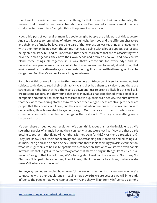that I want to evoke are automatic, the thoughts that I want to think are automatic, the feelings that I want to feel are automatic because I've created an environment that are conducive to those things." Alright, this is the power that we have.

Now, a big part of our environment is people, alright. People are a big part of this tapestry. And so, this starts to remind me of Mister Rogers' Neighborhood and the different characters and their land of make-believe. But a big part of that expression was teaching an engagement with other human beings, even though my man was playing with a lot of puppets. But it's also being able to story tell and to understand that these characters that we're associating with have their own agendas, they have their own needs and desires as do you, and how can we blend these things all together in a way that's efficacious for everybody? And so, understanding people are a major contributor to our environmental input, alright. Now, that environment can be affirmative, or it can be detracting. It can be health-affirming, or it can be dangerous. And there's some of everything in-between.

So to break this down a little bit further, researchers at Princeton University hooked up test subjects to devices to read their brain activity, and they had them to sit down, and these are strangers, alright, but they had them to sit down and just to create a little bit of small talk, create some rapport, and they found that once individuals had established even a small level of rapport and connection, their brains started to sync up, their brain activity, their brain waves that they were monitoring started to mirror each other, alright. These are strangers, these are people that they don't even know, and they saw that when humans are in conversation with one another, their brains start to sync up, alright. Our brains start to sync up when we're in communication with other human beings in the real world. This is just something we're hardwired to do.

It's been there throughout our evolution. We don't think about this, it's the invisible to us. We see other species of animals having their connectivity and we're just like, "How are those birds getting together in that flying V?" Alright, "Did they train for this? Was there a practice run?" They just know. Bees, their connectivity and understanding their position and all things, all animals, I can go on and on and on, they understand there's this seemingly invisible connection, what we might think to be like telepathic even, connection, that once we start to even dabble in words like that, it gets into some freaky areas that start to bring up things like Ms. Cleo, "Call me now," alright, that kind of thing. We're talking about real hardcore science. Not to say Ms. Cleo wasn't tapped into something, I don't know, I think she was active though. Where is she now? VH1, where are they now?

But anyway, so understanding how powerful we are in something that is unseen when we're connecting with other people, and I'm saying how powerful we are because we will inherently [influence the people that we](https://themodelhealthshow.com/relationship-revolution/)'[re connecting with, and they will inherently influence us, alright.](https://themodelhealthshow.com/relationship-revolution/) 

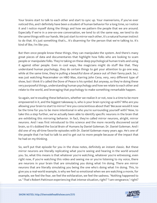Your brains start to talk to each other and start to sync up. Your mannerisms, if you've ever noticed this, and I definitely have been a student of human behavior for a long time, so I notice it and I notice myself doing the things and how we pattern the people that we are around. Especially if we're in a one-on-one conversation, we tend to sit the same way, we tend to do the same things with our hands. We just start to mirror each other, it's a natural human instinct to do that. It's just something that's... It's disarming for the person that we're talking to. It's kind of like, I'm like you.

But then once people know these things, they can manipulate the system. And there's many great pieces of data and documentaries that highlight how folks who are looking to scam people or manipulate folks. They're taking on these deep psychological human traits and using it against other people. Even in cool ways, like magicians might do stuff like that. They understand human psychology, they do certain things to get your attention to go one way, while at the same time, they're pulling a beautiful dove of peace out of their fanny pack. So, I was just watching Peacemaker on HBO Max, starring John Cena, very, very different type of show, but I think it's called the Dove of Peace is his symbol. But anyway, so they're doing these very purposeful things, understanding human psychology and how we relate to each other and relate to the world, and leveraging that psychology to make something remarkable happen.

So again, we're exuding these behaviors, whether we realize it or not, now is a time to be more empowered in it, and the biggest takeaway is, who is your brain syncing up with? Who are you allowing your brain to start to mirror? Are you conscientious about that? Because would it now be the time for you to be more intentional in who you're surrounding yourself with? Now, to take this a step further, we've actually been able to identify specific neurons in the brain that are exhibiting this mirroring behavior. In fact, they're called mirror neurons, alright, mirror neurons. And I was first introduced to this science and the more recently discovered social brain, so it's dubbed the Social Brain of Humans by Daniel Goleman. Dr. Daniel Goleman. And I did one of my all-time favorite episodes with Dr. Daniel Goleman many years ago. He's one of the people that I've had to talk to and to get out to more people because of the impact that he had on my thinking.

So, we'll put that episode for you in the show notes, definitely an instant classic. But these mirror neurons are literally replicating what you're seeing and hearing in the world around you. So, what this means is that whatever you're watching, whatever you're witnessing, even right now, if you're watching this video and seeing me or you're listening to my voice, there are neurons in your brain that are simulating you doing what I'm doing. There are mirror neurons that are literally simulating you being the one who's doing what I'm doing. This, to give you a real-world example, is why we feel so emotional when we are watching a movie, for example, we feel the fear, we feel the exhilaration, we feel the sadness. "Nothing happened to [us." That](https://themodelhealthshow.com/relationship-revolution/)'[s Robert Pattinson experiencing that intense situation, right? "I am vengeance," right?](https://themodelhealthshow.com/relationship-revolution/)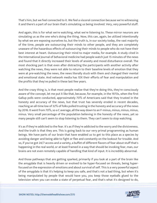That's him, but we feel connected to it. We feel a visceral connection because we're witnessing it and there's a part of our brain that's simulating us being involved. Very, very powerful stuff.

And again, this is for what we're watching, what we're listening to. These mirror neurons are simulating us as the one who's doing the thing. Now, this can, again, be utilized intentionally by what we are exposing ourselves to, but the truth is, in our society today, the vast majority of the time, people are outsourcing their minds to other people, and they are completely unaware of the hazardous effects of outsourcing their minds to people who do not have their best interest at heart. Outsourcing their mind to major media, for example. A study cited in the International Journal of behavioral medicine had people watch just 15 minutes of the news and found that it directly increased their levels of anxiety and mood disturbance overall. The most shocking part is that even after distracting the participants with another activity after watching the news, they were not able to return to their baseline levels of emotion that they were at pre-watching the news, the news literally stuck with them and changed their mental and emotional state. And network media has 10X their efforts of fear and manipulation and the profits that they've pulled in these last few years.

And the crazy thing is, is that most people realize that they're doing this, they're consciously aware of the concept, let me put it like that, because, for example, in the 1970s, when the first Gallup polls were conducted, approximately 70% of Americans said that they trusted in the honesty and accuracy of the news, but that trust has severely eroded in recent decades, reaching an all-time low of 32% of folks polled trusting in the honesty and accuracy of the news by 2016. It went from 70%, so a C average, all the way down to an F-minus, minus, minus, minus, minus. Very small percentage of the population believing in the honesty of the news, yet so many people still can't seem to stop listening to them. They can't seem to stop watching.

It's as if they're addicted to the fear. It's as if they're addicted to the worry and the divisiveness. And the truth is that they are. This is going back to our very primal programming as human beings. We have parts of our brain that have enabled us to get to this place as a species by avoiding danger and being able to fight or flee and constantly on the lookout for trouble. And so, if you've got 24/7 access and a variety, a buffet of different flavors of fear about stuff that's happening in the real world, or at least framed in a way that should be invoking fear, man, our brains are not even remotely capable of handling that kind of input. It is incredibly abnormal.

And those pathways that are getting sparked, primarily if you look at a part of the brain like the amygdala that is heavily driven or evolved to be hyper-focused on threats, being hyperfocused on the expression of emotions and about survival of self. This is a very powerful aspect of the amygdala is that it's helping to keep you safe, and that's not a bad thing, but when it's being manipulated by people that would have you, you keep those eyeballs glued to the [television when you can evoke a state of perpetual fear, and that](https://themodelhealthshow.com/relationship-revolution/)'[s what it](https://themodelhealthshow.com/relationship-revolution/)'[s designed to do,](https://themodelhealthshow.com/relationship-revolution/)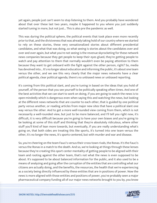yet again, people just can't seem to stop listening to them. And you probably have wondered about that over these last two years, maybe it happened to you where you just suddenly started tuning in more, but not just... This is also pre the pandemic as well.

This was during the political sphere, the political events that took place even more recently prior to that, and the divisiveness that was already taking hold of our country where we started to rely on these stories, these very sensationalized stories about different presidential candidates, and what that was doing, so what seeing is stories about the candidates over and over and over again, but what you're not seeing is the revenue skyrocketing for these network news companies because they get people to keep their eyes glued, they're getting people to watch and pay attention to them that normally wouldn't even be paying attention to them because they want to get onboard with the fight against the other person, right? So, media has devolved into... It's no longer about education and informing the public, it's about one team versus the other, and we see this very clearly that the major news networks have a clear political agenda, clear political agenda, there's no unbiased news or unbiased reporting.

It's coming from this political slant, and you're tuning in based on the ideas that you hold of yourself, of the person that you see yourself to be politically speaking often times. And one of the best activities that we can start to work on doing, if you are going to watch the news is to open-mindedly which is dangerous even when saying this and watching the news, but looking at the different news networks that are counter to each other, that is guided by one political party versus another, or reading articles from major new sites that have a political slant one way versus the other. And to get a more well-rounded view coming from them, which is not necessarily a well-rounded view, but just to be more balanced, and I'll tell you right now, it's difficult, it is very difficult because you're going to have your own biases and you're going to be looking at some of this stuff and thinking that they're absolutely ridiculous, where other stuff you'll kind of lean more towards, but eventually, if you are really understanding what's going on, that both sides are treating this like sports, it's turned into one team versus the other, it's no longer the news, it's sports-centered, but with murder and war and disease.

So, you're cheering on the team Fauci's versus their cross-town rivals, the Ronas. It's the Fauci's versus the Ronas in a match to the death. And so, we're looking at things through these lenses because they're creating this sport center mentality of getting people to be aligned with their team and rooting against the other team, that's not what the news is even supposed to be about. It's supposed to be about balanced information for the public, and it also used to be a means of analyzing and going after the corruption of the entities that are controlling what our citizens are actually doing, and the benefits, the resources, the health that we're experiencing as a society being directly influenced by these entities that are in positions of power. Now the news is more aligned with those entities and positions of power, you've probably seen a major [pharmaceutical company funding all of our major news networks brought to you by, you know](https://themodelhealthshow.com/relationship-revolution/)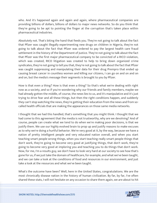who. And it's happened again and again and again, where pharmaceutical companies are providing billions of dollars, billions of dollars to major news networks. So do you think that they're going to be apt to pointing the finger at the corruption that's taken place within pharmaceutical industries.

Absolutely not. That's biting the hand that feeds you. They're not going to talk about the fact that Pfizer was caught illegally experimenting new drugs on children in Nigeria, they're not going to talk about the fact that Pfizer was ordered to pay the largest health care fraud settlement in the history of the Department of Justice. They're not going to talk about the fact that Pfizer was the first major pharmaceutical company to be convicted of a RICO violation, which was created, RICO litigation was created to help to bring down organized crime syndicates, they're not going to tell you that, they're not going to talk about the fact that Pfizer was caught suppressing and manipulating their data for their drug Prempro that ended up causing breast cancer in countless women and killing our citizens, I can go on and on and on and on, but the media's message their segments is brought to you by Pfizer.

How is that even a thing? How is that even a thing? So that's what we're dealing with right now as a society, and so if you're wondering why our friends and family members, maybe we had already gotten the middle, of course, the news lies to us, and it's manipulative and it's just trying to drive fear and all these things, but then the right conditions happen, and suddenly they can't stop watching the news, they're getting their education from the news and from socalled health officials that are making the appearances on those same media networks.

I thought that we had this handled, that's something that you might think. I thought that we had come to this agreement that the media is not trustworthy, why are we devolving? And of course, people can create what we tend to do when we're making poor decisions, is that we justify them. We use our highly evolved brain to prop up and justify reasons to make excuses as to why we're doing a hurtful behavior. We're very good at it, by the way, because we have a nation of pretty intelligent people and very educated nation overall, and when you start teaching smart people wrong things, when you start teaching really smart people things that don't work, they're going to become very good at justifying things, that don't work, they're going to become very good at imploring you and teaching you to do things that don't work. Now, for me, I'm a results guy, we don't have to look very hard at our society to see how that's gone for us, if we just take the domain of healthcare, for example, and what we've been taught, and we can take a look at the conditions of food and resources in our environment, and just take a look at the resources and what we've been taught.

What's the outcome have been? Well, here in the United States, congratulations. We are the most chronically disease nation in the history of human civilization. By far, by far, I've often [shared these stats, I will not hesitate on any occasion to share them again, we are about to hit](https://themodelhealthshow.com/relationship-revolution/) 

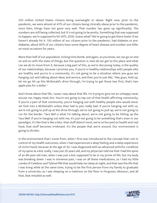250 million United States citizens being overweight or obese. Right now, prior to the pandemic, we were almost at 45% of our citizens being clinically obese prior to the pandemic, since then, things have not gone very well. That number has gone up significantly. The numbers are still being collected, but it's not going to be pretty. Something that was supposed to happen, we're supposed to hit 50%, 2030. Guess what? We're going to get there faster if we haven't already hit it. 130 million of our citizens prior to the pandemic, had diabetes or prediabetes, about 60% of our citizens have some degree of heart disease and number one killer on most occasions for years.

More than half of our population, ticking time bomb, and again, as you know, we can go on and on and on with the state of things, but the question is, how do we get to this place and what can we do to move from it, because a big part of this, as we're discussing today, is the quality of our relationships, because I promise you, if you're in healthy relationships with people who are healthy and you're in a community, it's not going to be a situation where you guys are hanging out and talking about ideas and service, and then you're just like, "Hey guys, hold up, let me go hit up this McDonald's drive through, I'm trying to get those two first, that's two apple pies for a dollar."

And I know about that life, 'cause I was about that life. I'm trying to give me an unhappy meal, excuse me, happy meal, bro. You're not going to tap out of that health affirming community, if you're a part of that community, you're hanging out with healthy people who would never set foot into a McDonald's unless they had to piss really bad. If you're hanging out with us, we're not going to pull up at the drive-through, we're not going to pull up, we're not going to run for the border. Taco Bell is what I'm talking about, we're not going to be hitting up the Taco Bell. If you're hanging out with me, it's just not going to be something that's even in our paradigm, it's like that is like a blur, that stuff doesn't exist, we're so focused on health and real food, that stuff becomes irrelevant. It's the people that we're around. Our environment is going to dictate.

In the environment that I come from, when I first was introduced to the concept that I am in control of my health outcomes, when I had experienced a deep feeling and a deep experience of victim hood, because at the age of 20, I was diagnosed with an advanced arthritic condition of my spine as a kid, really, I was just 20 years old, and my physician told me that I had the spine of an 80-year-old man, when I was just a kid, supposed to be in my prime of life, but my body was breaking down. I was in immense pain, I was on all these medications, so I had my little combo of Celebrex and Tylenol PM that would help me sleep at night, and that was the life that I was living while at the same time, trying to be the first person from my family to graduate from a university, as I was sleeping on a mattress on the floor in Ferguson, Missouri, and all that, that entailed as well.

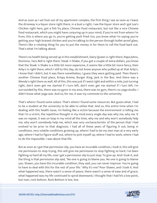And as soon as I set foot out of my apartment complex, the first thing I see as soon as I leave the driveway is a liquor store right there, in a bust a right, I see the liquor store and I got Lee's Chicken right here, got a fish fry place, Chinese food restaurant, but not like a nice Chinese food restaurant, which you might have conjuring up in your mind, if you're not from where I'm from, this is where you go in, you're getting pork fried rice, you know what I'm saying you're getting your high braised chicken and you're talking to the person through bullet-proof glass. There's like a rotating thing for you to put the money in for them to roll the food back out. That's what I'm talking about.

There's no health being served up in this establishment, Dairy Queen is right there, Papa Johns, Dominos, Taco Bell is right there. Steak 'n Shake, if you got a couple of extra dollars, you know that the Steak 'n Shake is a little bit more expensive, it seems like a little bit more fancy, then Arby's is right there, which I still to this day, do not know anyone who pulled up at that Arby's, I know that I didn't, but it was there nonetheless, I guess they were getting paid. Then there's another Chinese food place, Krispy Kreme, Burger King, Jack in the Box. And there was a Wendy's right there as well. All of this, this was just if I went right and within a mile, just turning right, don't even get me started if I turn left, don't even get me started if I turn left, I'm surrounded by this, there was no gyms in my area, there was no gym, there's no yoga studio. I didn't know what yoga was. And so, for me, it was my commute to the university.

That's where I found some solace. That's where I found some resources. But guess what, I had to be a student at the university to be able to utilize that. And so, this entire time when I'm dealing with this health issue, I'm feeling like a victim because the environment is telling me that I'm a victim, the repetitive thought in my mind every single day was why me, why me. It was on repeat, it was on loop in my mind all the time, why me and why won't somebody help me, why won't somebody help me, which was very uncharacteristic of the person that I had evolved to be prior to that diagnosis. I had all of these years of figuring it out, being in conditions, very volatile conditions growing up, where I had to be my own man at a very early age, where I had to figure stuff out, where to pick myself up, where I had to work, where I had to do the impossible. I was about that life.

But as soon as I got that permission slip, you have an incurable condition, I took it, this will give me permission to stop trying, this will give me permission to stop fighting so hard, I've been fighting so hard all my life, now I get a permission slip to just stop. To give up. And I took it, and the thing is that permission slip said, "No one is going to blame you. No one is going to blame you. Shawn, you have this incurable condition, they said, you can never improve. You're going to have to deal with this for the rest of your life." Why it's me? Poor Shawn, and I took it. And what happened was, there wasn't a sense of peace, there wasn't a sense of ease and of grace, what happened was my life continued to spiral downward, I thought that I had hit a low point, [but man, rock bottom. Rock Bottom is low, low.](https://themodelhealthshow.com/relationship-revolution/)

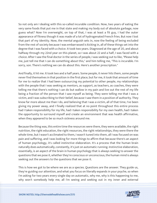So not only am I dealing with this so-called incurable condition. Now, two years of eating the very same foods that put me in that state and making my body out of absolute garbage, now guess what? Now I'm overweight, on top of that, I was at least a fit guy, I had the outer appearance of fitness though it was made of a lot of hydrogenated French fries. But now I lost that part of my identity. Now, the mental anguish sets in, now the feeling of being excluded from the rest of society because I was embarrassed is kicking in, all of these things set into the degree that I was faced with a choice. It took two years. Diagnosed at the age of 20, and about halfway through my 22nd year on this planet, so I was about 22 and a half, I was faced with a choice. After I saw the final doctor in the series of people, I was seeking out to like, "Please help me, just tell me that I can do something about this," and him telling me, "This is incurable. I'm sorry, son. There's nothing we can do about this. Here's another prescription."

And finally, it hit me. It took two and a half years. Some people, it never hits them, some people never find themselves in that position in the first place, but for me, it took that amount of time for me to realize that I had been outsourcing my potential to other people, my relationships with the people that I was seeking as mentors, as support, as teachers, as coaches, they were telling me that there's nothing I can do but wallow in my pain and live out the rest of my life being a fraction of the person that I saw myself as being. They were telling me that I was a victim, and I was subscribing to their belief, because I saw them in a position of authority. They know far more about me than I do, and believing that I was a victim, all of that time, I've been giving my power away, and I finally realized that at no point throughout this entire process had I taken responsibility for my life, had I taken responsibility for my own health, had I taken the opportunity to surround myself and create an environment that was health affirmative, when they appeared to be so much sickness around me.

Because the thing was, this entire time the resources were there, they were available, the right nutrition, the right education, the right resources, the right relationships, they were there the whole time, but I wasn't acclimated to them, I wasn't tuned into them, all I was focused on was pain and suffering, and I was looking for more things to affirm that because there's an aspect of human psychology, it's called instinctive elaboration. It's a process that the human brain naturally does automatically, constantly, it's just on automatic running. Instinctive elaboration, essentially, is an aspect of the brain in human psychology that is always seeking to answer the questions that we pose it, whether they're conscious or unconscious, the human mind is always seeking out the answers to the questions that we pose it.

This is how we got to be where we are as a species. Questions are the answer. They guide us, they're guiding our attention, and what you focus on literally expands in your psyche, so when I'm asking for two years every single day on automatic, why me, why is this happening to me, [why won](https://themodelhealthshow.com/relationship-revolution/)'[t somebody help me, all I](https://themodelhealthshow.com/relationship-revolution/)'[m seeing and seeking out in my inner and external](https://themodelhealthshow.com/relationship-revolution/)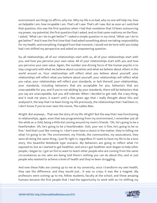environment are things to affirm, why me. Why my life is so bad, why no one will help me, how un-helpable I am, how incapable I am. That's all I saw. That's all I saw. But as soon as I switched that question, this was the first question when I had that revelation that I'd been outsourcing my power, my potential, the first question that I asked, and on that same mattress on the floor. I asked, "What can I do to get better?" I asked a simple question in my mind, "What can I do to get better?" And it was the first time that I had asked something about me taking responsibility for my health, and everything changed from that moment, I would not be here with you today had I not shifted my perspective and asked an empowering question.

So, all relationships, all of our relationships start with us, all of your relationships start with you, and how you perceive your own value. All of your relationships start with you and how you perceive your own value. Again, the number one driving force of the human psyche is to stay congruent with what we believe about ourselves and what we believe about others in the world around us. Your relationships will reflect what you believe about yourself, your relationships will reflect what you believe about yourself, your relationships will reflect what you value, your relationships will reflect your standards, or lack thereof, your relationships, your standards, including behaviors that are acceptable for you, behaviors that are unacceptable for you, and if you're not abiding by your standards, there will be behaviors that you say are unacceptable, but you still tolerate. When I decided to get well, the crazy thing, and it took me years, it wasn't until a few years ago that I really thought about this and analyzed it, the way that I've been living my life previously, the relationships that I had been in, I don't know if you've ever seen the movie, The Ladies Man.

Alright. But anyways... That was the story of my life. Alright? But the way that I was functioning in relationships, again, even that was programming from my environment, I remember just all the while as a child, being a little kid coming around my mom's friends. "Oh, he's going to be a heartbreaker. Oh, he's going to be a heartbreaker. Ooh, your son is fine, he's going to be so fine." And that's just like coming in. I don't even have a choice in the matter, they're telling me what I'm going to be. The environment, my friends, the communities, my associations, they were all doing the same thing, I just fit right in, regardless if I want to have my life to be a love story, this beautiful Notebook type scenario. My behaviors are going to reflect what I'm exposed to, but as I started to get healthier, and once I got healthier and I began to help other people, I began to, I got on fire to want to teach other people who are coming from the same circumstances as me, who are being told there's nothing you can do about this, and or just people who wanted to achieve a level of health and they've been struggling.

And now these folks are coming up to me at my university, once I transform my own health, they saw the difference, and they would just... It was so crazy; it was like a magnet. My professors were coming up to me, fellow students, faculty at the school, and these amazing [humans became the first people that I had the opportunity to work with as I](https://themodelhealthshow.com/relationship-revolution/)'[m shifting my](https://themodelhealthshow.com/relationship-revolution/)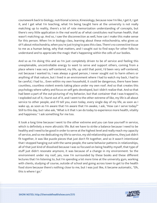coursework back to biology, nutritional science, Kinesiology, because now I'm like, I get it, I get it, and I get what I'm teaching, what I'm being taught here at the university is not really matching up to reality, there's a lot of rote memorization understanding of concepts, but there's very little application in the real world as of what constitutes real human health, that wasn't matching up. And so, I saw the disconnection as well, how can I make this make sense for this person. When I'm in biology class, learning about these mitochondria, who gives us sh\*t about mitochondria, when you're just trying to pass this class. There's no connective tissue to me as a human being, why that matters, and I sought out to find ways for other folks to understand and to appreciate the magic that's happening within the cells of our bodies.

And so as I'm doing this and as I'm just completely driven to be of service and feeling this unexplainable, uncontrollable energy to want to serve and support others, coming from a place where I was very self-centered, my life, up until that point, I'd been very self-centered, not because I wanted to, I was always a good person, I never sought out to harm others or anything of that nature, but I lived in an environment where I had to watch my back, I had to be careful, I had to... Even within my own household, it could be dangerous, there have been countless, countless violent events taking place under my own roof. And so that creates this psychology where safety and focus on self gets developed, but I didn't realize that. And so that had been a part of the out-picturing of my behavior, but that container that I was trapped in, I exploded out of it, I burst out of it, and I went to the other extreme of like, my life is all about service to other people, and I'll tell you, even today, every single day of my life, as soon as I wake up, as soon as I'm aware that I'm aware that I'm awake, I ask, "How can I serve today?" Still to this day, but I also ask, "What is it that I can do today to experience more health, vitality and happiness." I ask something for me too.

It took a long time because I went to the other extreme and you can lose yourself in service, which is definitely a more altruistic life. But we have to strike a balance because I need to be healthy and I need to be good in order to serve at the highest level and really reach my capacity of service, and so me dedicating my life to service, my old relationship patterns, they just didn't fit together, it was like puzzle pieces that just don't fit together, and so it wasn't intentional that I stopped hanging out with the same people, the same behavior patterns in relationships, all of that just kind of dissolved because I was so focused on being healthy myself, that type of stuff just didn't resonate anymore, it was because of a change in my environment. So the environment under my roof, yes, now I'm surrounded by these books and these different lectures that I'm listening to, but I'm spending a lot more time at the university gym, working with clients, studying of course, outside of school and going across town to get to the health food store because there's nothing close to me, but I was just like, it became automatic, "Oh, this is where I go."

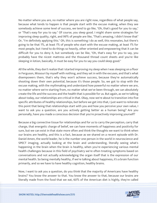No matter where you are, no matter where you are right now, regardless of what people say, because what tends to happen is that people start with the excuse making, when they see somebody achieve some level of success, we tend to go like, "Oh, that's good for you to say," or "That's easy for you to say." Of course, you sleep good. I might share some strategies for improving sleep quality, right, and 99% of people are like, "That's amazing, I didn't know that" Or, "I'm definitely applying this." Oh, this is something I do as well, this resonates, but there's going to be that 1%, at least 1% of people who start with the excuse making, at least 1% for most people, but I tend to do things so heavily, other oriented and empowering that it can be difficult for you to deny it, but somebody can be like, "Oh, that's easy for you to say, you probably have the nicest mattress and the thousand thread count sheets and you're like sleeping in lotion, basically, it must be easy for you to say you could sleep good."

All the while, they don't realize that I started improving my sleep when I was sleeping on a floor in Ferguson, Missouri by myself with nothing, and they set in with the excuses, and that's what disempowers them, that's why they won't achieve success, because they're automatically shooting down their own potential, because it's those people. So, we got to stop with the excuse making, with the mythmaking and understand how powerful no matter where we are, no matter where we're starting from, no matter what we've been through, we can absolutely create the life and the success and the health that is possible for us. But again, as we're talking about today, our relationships are critical in that. Okay, now we're about to transition into five specific attributes of healthy relationships, but before we get into that, I just want to reiterate this point that being that relationships start with you and how you perceive your own value, I want to ask you a question, are you actively getting better as a human being? Are you personally, have you made a conscious decision that you're proactively improving yourself?

Because a big connective tissue for relationships and for us to carry the perception, carry that charge, that energetic charge of belief, we can have moments of happiness and positivity for sure, but we can exist in that state more often and think the thoughts we want to think when our brains are healthy, and this is a fact, because as we shared on a recent episode with Dr. Daniel Amen, the world leader, he is the number one person in the world in neuroscience and SPECT imaging, actually looking at the brain and understanding, literally seeing what's happening in the brain when the brain is healthy, when you're experiencing various mental health challenges because in this field of psychiatry we're often treating symptoms based on conversations and not actually acknowledging the organ itself that is the expression of our mental health. So being mentally healthy, if we're talking about happiness, it's a brain function primarily, and so we have to have healthy cognition, healthy brains.

Now, I want to ask you a question, do you think that the majority of Americans have healthy brains? You know the answer to that. You know the answer to that, because our brains are [literally made from the food that we eat, 60% of the American diet is highly, they](https://themodelhealthshow.com/relationship-revolution/)'[re called](https://themodelhealthshow.com/relationship-revolution/) 

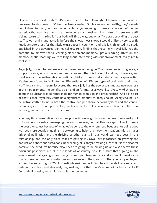ultra, ultra-processed foods. That's never existed before. Throughout human evolution, ultraprocessed foods makes up 60% of the American diet. Our brains are not healthy, they're made out of absolute trash, because the human body, you're going to make your cells out of the raw materials that you give it. And the human body is also resilient, like, we're still here, we're still kicking, we're still making it. Your body will find a way, but what if we start providing the best stuff to our brains and actually before the show, most shows I would utilize a very specific nutritive source just for that little extra boost in cognition, and this is highlighted in a study published in the advanced biomedical research, finding that royal jelly, royal jelly has the potential to improve spatial learning, attention and memory. Spatial learning, attention and memory, spatial learning, we're talking about interacting with our environment, really, really cool stuff.

Royal Jelly, this is what exclusively the queen bee is dining on. The queen bee is living years, a couple of years, versus the worker bees a few months. It is like night and day difference, and royal jelly also has well-established antimicrobial anti-tumor and anti-inflammatory properties, it's also been found to facilitate the differentiation of different types of brain cells, and to top it off, researchers in Japan discovered that royal jelly has the power to stimulate neurogenesis in the hippocampus, the benefits go on and on for me, it's always like, "Okay, why? What is it about this substance is so remarkable for human cognition and brain health?" And a big part of that is that royal jelly contains a significant amount of acetylcholine. Acetylcholine is a neurotransmitter found in both the central and peripheral nervous system and the central nervous system, more specifically your brain, acetylcholine is a major player in attention, memory, and other executive functions.

Now, any time we're talking about bee products, we've got to save the bees, we've really got to focus on sustainable beekeeping more so than ever, not just this concept of like, Just leave the bees alone. Just because of what we've done to the environment, bees are not doing good we need more people engaging in beekeeping to help to remedy the situation, this is a major driver of pollination and the thriving of other plants in our world, we need bees in this relationship, and the only place that I'm getting my royal jelly is focused on growing the population of bees and sustainable beekeeping, plus, they're making sure that it is the cleanest possible bee products because also bees are going to be picking up and also there's these ridiculous pesticides and all those kinds of absolutely ridiculous stuff that's going in the environment that's going to be coming through your bee products, and you want to make sure that you are not bringing in nefarious substances with the great stuff that you're trying to get, and so they're testing for 70 plus pesticide residues, including heavy metals like arsenic and cadmium and lead, and also analyzing, making sure that there's no nefarious bacteria like E. Coli and salmonella, and mold, and this goes on and on.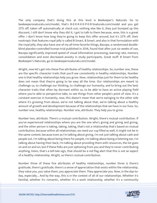The only company that's doing this at this level is Beekeeper's Naturals. Go to beekeepersnaturals.com/model, that's B-E-E-K-E-E-P-E-R-Snaturals.com/model and you get 25% off, taken off automatically at check out, nothing else like it, they just bumped up this discount, I still don't know why they did it, I got to talk to them because, wow, this is a great offer. I don't know how long they're going to keep this offer around, but it's 25% off, their nootropic that features royal jelly is called B Smart, B Smart, and also in that formulation with the royal jelly, they also have one of my all-time favorite things, Bacopa, a randomized doubleblind placebo-controlled human trial published in 2016, found that after just six weeks of use, Bacopa significantly improved speed of visual information processing, learning rate, memory consolidation and even decreased anxiety in study participants. Great stuff. B Smart from Beekeeper's Naturals, go to beekeepersnaturals.com/model.

Alright, now let's get into these five attributes of healthy relationships. So, number one, these are the specific character traits that you'll see consistently in healthy relationships. Number one is that healthy relationships help you grow. Now, relationships just for them to be healthy does not mean that they're going to be easy all the time. Our relationships are meant to challenge us, to challenge our thinking, to challenge our humanity, and to bring out the best character traits that often lay dormant within us, to be able to have an active playing field where you're able to perspective take, to see things from other people's point of view. It's a constant exercise in humanity, now, this doesn't mean that we're swinging to the other side where it's growing from abuse, we're not talking about that, we're talking about a healthy amount of growth and development because of the relationships that we have in our lives. So, number one, healthy relationships. Number one, attribute. They help you to grow.

Number two, attribute. There's a mutual contribution. Alright, there's mutual contribution. If you've experienced relationships where you are the one who's giving and giving and giving, and the other person is taking, taking, taking, that's not a relationship that's based on mutual contribution, because within all relationships, we need our cup filled as well, it might not be in the same context, because even as I'm talking about giving, I'm not just talking about cash and people out, I'm talking about being there for people, I'm talking about being a listening ear, I'm talking about having their back, I'm talking about providing them with resources, the list goes on and on and on, but if these folks are just siphoning from you and they're never contributing anything, listen, that's a tell-tale sign, that should be a red flag alert that this is not an aspect of a healthy relationship. Alright, so there's mutual contribution.

Number three of these five attributes of healthy relationships, number three is there's gratitude, there's gratitude, there's a sense of appreciation that exists within the relationship, they value you, you value them, you appreciate them. They appreciate you. Now, in the day-today, especially... And by the way, this is in the context of all of our relationships. Whether it's [familial, whether it](https://themodelhealthshow.com/relationship-revolution/)'[s romantic, whether it](https://themodelhealthshow.com/relationship-revolution/)'[s a work relationship, whether it](https://themodelhealthshow.com/relationship-revolution/)'[s a community](https://themodelhealthshow.com/relationship-revolution/)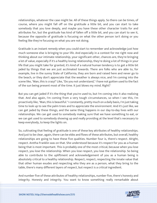relationships, whatever the case might be. All of these things apply. So there can be times, of course, where you might fall off on the gratitude a little bit, and you can start to take somebody that you love deeply, and maybe you have these other character traits for and attributes for, but the gratitude has kind of fallen off a little bit, and you can start to see it, because the opposite of gratitude is focusing on what the other person isn't doing or you feeling like they're focusing on what you are not doing.

Gratitude is an instant remedy when you could start to remember and acknowledge just how much someone else is bringing to your life. And especially in a context for me right now and thinking about our intimate relationship, your significant other, chances are, they're bringing a lot of value, especially if it's a healthy loving relationship, they're doing a lot of things in your life that you might take for granted, it's kind of a natural human tendency is to get a little bit jaded by things that we are just acclimated towards. There are folks who are able to, for example, live in the sunny State of California, they are born and raised here and never go to the beach, or they don't appreciate that the weather is always nice, and I'm coming into the scene like, "Man, this is crazy!" Like, "Do you not understand," I have not gotten used to the fact of the sun being present most of the time. It just blows my mind. Right?

But you can get jaded if it's the thing that you're used to, but I'm coming into it also realizing that. And also again, I'm coming from a very tough circumstances, so when I see this, I'm proactively like, "Man, this is beautiful." I constantly, pretty much on a daily basis, I'm just taking time to look up to see the palm trees and to appreciate the environment. And it's just like, we can get jaded by these things, and the same thing happens in our day-to-day lives with our relationships. We can get used to somebody making sure that we have something to eat, or we can get used to somebody showing up and really providing at the level that's necessary to keep everybody, to keep the lights on.

So, cultivating that feeling of gratitude is one of these key attributes of healthy relationships. And just to be clear, again, there can be ebbs and flows of these attributes, but overall, healthy relationships are going to have these five qualities. Number four is, there's respect. Alright, respect. Aretha Franklin was on that. She understood because it's respect for you as a human being that is most important. This is probably one of the most critical, because when you lose respect, you lose the relationship. When you lose respect, you lose the relationship. So being able to contribute to the upliftment and acknowledgement of you as a human being is absolutely critical to a healthy relationship. Respect, respect, respecting the innate value that that other human exudes and respecting who they are as a person, what they bring to the table, there's many different layers of respect, but respect is a critical ingredient.

And number five of these attributes of healthy relationships, number five, there's honesty and [integrity. Honesty and integrity. You want to know something really remarkable about](https://themodelhealthshow.com/relationship-revolution/) 

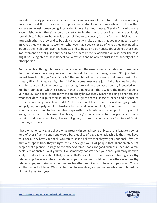honesty? Honesty provides a sense of certainty and a sense of peace for that person in a very uncertain world. It provides a sense of peace and certainty in their lives when they know that you are an honest human being. It provides, it puts the mind at ease. They don't have to worry about dishonesty. There's enough uncertainty in the world providing that is absolutely remarkable. At its core, honesty is an act of kindness. Honesty is a platform on which you can help each other to grow and to be able to honestly analyze things that you may need to work on, what they may need to work on, what you may need to let go of, what they may need to let go of, being able to have this honesty and to be able to be honest about things that need improvement or that just don't need to be a part of the relationship or whatever the case might be. Being able to have honest conversations and be able to trust in the honesty of the other person.

But to be clear though, honesty is not a weapon. Because honesty can also be utilized in a detrimental way, because you're on the mindset that I'm just being honest. "I'm just being honest here, but Bill, you're an \*sshole." That might not be the honesty that we're looking for. I mean, Billy might be. He might be, right? But sometimes we're just kind of leaning into that, and this concept of ultra-honesty, this moving forward here, because honesty is coupled with number four, again, which is respect. Honesty plus respect, that's where the magic happens. So, honesty is an act of kindness. When somebody knows that you are not being dishonest, and what that does is it puts their mind at ease. It gives them a sense of peace and a sense of certainty in a very uncertain world. And I mentioned this is honesty and integrity. What integrity is, integrity implies trustworthiness and incorruptibility. You want to be with somebody, you want to have relationships with people who are incorruptible. They're not going to turn on you because of a check, or they're not going to turn on you because of a certain condition takes place, they're not going to turn on you because of a piece of fabric covering your face.

That's what honesty is, and that's what integrity is; being incorruptible. So, this leads to a bonus here of these five. A bonus one would be, a quality of a great relationship is that they have your back. They have your back. You can trust and believe that they've got your back. If you're met with opposition, they're right there, they got you. Not people that abandon ship, not people that flip on you and go to the other extreme, that's not good business. That's not a real healthy relationship. So, if you feel like somebody doesn't have your back, you really need to analyze that and think about that, because that's one of the prerequisites to having a healthy relationship. Because it's healthy relationships that we need right now more than ever. Healthy relationships, and bringing communities together, require us to have an open mind. This is another important tenet. We must be open to new ideas, and you've probably seen a huge lack of that the last two years.

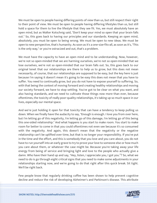We must be open to people having differing points of view than us, but still respect their right to their point of view. We must be open to people having differing lifestyles than us, but still hold a space for them to live the lifestyle that they see fit. Yes, we must absolutely have an open mind, but as Walter Kotschnig said, "Don't keep your mind so open that your brain falls out." So, this goes back to having our principles and our standards. Keeping an open mind, absolutely, you must be open to being wrong. We must be open to new ideas. We must be open to new perspective, that's humanity. As soon as it's a one-size-fits-all, as soon as it's, "This is the only way," or you're ostracized and out, that's a problem.

We must have the capacity to have an open mind and to be understanding. Now, however, we're not so open-minded that we are harming ourselves, we're not so open-minded that we lose ourselves, we're not so open-minded that our brain falls out. So, this goes back to our original tenet that our relationships are there to help us to grow, but this does not mean necessarily, of course, that our relationships are supposed to be easy, but the key here is just because I'm saying it doesn't mean it's going to be easy this does not mean that you have to suffer. You need to continually grow, but you do not have to expose yourself to suffering. So, with that being the context of moving forward and creating healthy relationships and moving our society forward, we have to stop settling. You've got to be clear on what you want, and also having standards, and we need to cultivate those things now more than ever, because oftentimes, the toxicity of really poor-quality relationships, it's taking up so much space in our lives, especially our mental space.

And we're just holding it open for that toxicity that can have a tendency to keep pulling us down. When we finally have the audacity to say, "Enough is enough. I love you from over here, but I'm letting go of this negativity, I'm letting go of this damage, I'm letting go of this being this one-sided relationship." And what happens is you start to make room. You start to make room for better to come in that you could oftentimes not even see because it's so consumed with the negativity. And again, this doesn't mean that the negativity or the negative relationship can't be uplifted over time, but that is no longer your responsibility. If you've put in the time and the effort, and this is somebody that you love and you care about, you do not have to run yourself into an early grave to try to prove your love to someone else or how much you care about them, or whatever the case might be. Because you're taking away your life energy from being of service and bringing light and love to the people who actually give a damn. Who have their hand up and say, "Hey, listen, I appreciate you, I got you."? So, what we need to do is go through eight critical signs that you need to make some adjustments in your relationships starting now, and we're going to do that right after this quick break. Sit tight. We'll be right back.

Few people know that regularly drinking coffee has been shown to help prevent cognitive [decline and reduce the risk of developing Alzheimer](https://themodelhealthshow.com/relationship-revolution/)'[s and Parkinson](https://themodelhealthshow.com/relationship-revolution/)'[s disease. This attribute](https://themodelhealthshow.com/relationship-revolution/)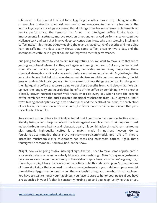referenced in the journal Practical Neurology is yet another reason why intelligent coffee consumption makes the list of best neuro-nutritious beverages. Another study featured in the journal Psychopharmacology uncovered that drinking coffee has some remarkable benefits on mental performance. The research has found that intelligent coffee intake leads to improvements in alertness, improve reaction times and enhanced performance on cognitive vigilance task and task that involve deep concentration. Now, why am I stressing intelligent coffee intake? This means acknowledging the true U-shaped curve of benefits and not going ham on caffeine. The data clearly shows that some coffee, a cup or two a day, and the accompanied caffeine is a great adjunct for improved mental performance.

But going too far starts to lead to diminishing returns. So, we want to make sure that we're getting an optimal intake of coffee, and again, not going overboard. But also, coffee is best when it's not coming along with pesticides, herbicides, rodenticides, fungicides, these chemical elements are clinically proven to destroy our microbiome terrain. So, destroying the very microbiome that helps to regulate our metabolism, regulate our immune system, the list goes on and on. Obviously, you want to make sure that those things are not coming along with the high-quality coffee that we're trying to get these benefits from. And also, what if we can up-level the longevity and neurological benefits of the coffee by combining it with another clinically proven nutrient source? Well, that's what I do every day when I have the organic coffee combined with the dual extracted medicinal mushrooms from Four Sigmatic. And if we're talking about optimal cognitive performance and the health of our brain, the protection of our brain, there are few nutrient sources, like lion's mane medicinal mushroom that pack these kinds of benefits.

Researchers at the University of Malaya found that lion's mane has neuroprotective effects, literally being able to help to defend the brain against even traumatic brain injuries. It just makes the brain more healthy and robust. So again, this combination of medicinal mushrooms plus organic high-quality coffee is a match made in nutrient heaven. Go to foursigmatic.com/model. That's F-O-U-R-S-I-G-M-A-T-I-C.com/model, get 10% off. They're incredible mushroom elixirs, mushroom hot cocos and mushroom coffees. Again, that's foursigmatic.com/model. And now, back to the show.

Alright, now we're going to dive into eight signs that you need to make some adjustments in your relationships, or even potentially let some relationships go. Now I'm saying adjustments because we can change the proximity of the relationship or based on what we're going to go through, you might have the revelation that is time to let this relationship go. So, number one of these eight signs that you need to make some adjustments in your relationships or even let the relationship go, number one is when the relationship brings you more hurt than happiness. You have to start to honor your happiness. You have to start to honor your peace. If you have [a relationship in your life that is constantly hurting you, and you keep justifying that or you](https://themodelhealthshow.com/relationship-revolution/)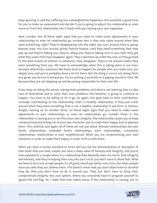keep ignoring it, and the suffering has outweighed the happiness, this would be a great time for you to make an assessment and decide if you're going to adjust this relationship or even move on from this relationship, but it starts with you valuing your own happiness.

Now, number two of these eight signs that you need to make some adjustments in your relationships or even let relationship go, number two is they only come around when they want something, right? They're disappearing into the night, you turn around, they're going, batman style. You turn around, ghost, Patrick Swayze, until they need something then they pop up and they're DMing you, they're calling you, they're talking nice to you, then they get what they want, then they disappear again. They crawl back up under the rock, or they go back to the dark streets of Gotham or whatever, they disappear. They're not around unless they want something from you. We have to acknowledge when this is taking place in our lives, because oftentimes, scenarios like these tend to happen for people who you really love, you deeply love, and you've probably done a lot for them. But the thing is you're not doing them any good, any service is temporary. You're putting a band-aid on a gaping wound in their life because they are not stepping up and becoming responsible for their own life.

If you keep on being the person solving their problems, and they're not learning how to take care of themselves and to solve their own problems, this behavior is going to continue to happen. You have to be willing to let it go. So again, this goes back to their contribution, mutually contributing to the relationship, that's a healthy relationship. If they just come around when they want something that is not a healthy relationship in any form or fashion. Alright, moving on to number three, on these eight signs that you need to make some adjustments in your relationships or even let relationships go, number three is, the relationship is causing you to sacrifice your own integrity. The relationship causes you to keep compromising and acting out of your own character. Just to make them happy. Just to appease them. This could be, and again, all of these are not just about intimate relationships, but also family relationships, extended family relationships, work relationships, community relationships, relationships in your neighborhood. When you are compromising your own character in order to make them happy, in order to fit in with them.

When you have a certain standard or tenet and you see the demonstration or disrespect of that tenet that you hold, maybe you have a deep value of honesty and integrity, and you're now exposed to a couple who's in a relationship that blatantly does not honor that integrity and honesty, and they're looping their way into your circle, you don't have to allow that. What we tend to do is just accept people, it's all good, they'll get better over time, but when people show you who they are, believe them. This doesn't mean that you don't allow them to do what they do, they just don't have to do it around you. They just don't have to bring their compromised integrity into your sphere, where you constantly have to program yourself to [ignore the red flag. So, I hope that that makes sense. If the relationship is causing you to](https://themodelhealthshow.com/relationship-revolution/)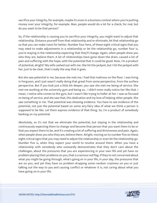sacrifice your integrity, for example, maybe it's even in a business context where you're putting money over your integrity, for example. Man, people would do a lot for a check, for real, but do you want to be that person?

So, if the relationship is causing you to sacrifice your integrity, you might want to adjust that relationship. Distance yourself from that relationship and or eliminate, let that relationship go so that you can make room for better. Number four here, of these eight critical signs that you may need to make adjustments in a relationship or let the relationship go, number four is, you're staying in the relationship expecting that they'll change. Again, when people show you who they are, believe them. A lot of relationships have gone down the drain, caused a lot of pain and suffering with the hope, with the potential that it could be good. Now, I'm a product of potential, alright? My wife cashed out with me. She hit the jackpot, but I hit the jackpot with her, just to be clear, that's really the way that it goes.

But she saw potential in me, because she met me, I had that mattress on the floor. I was living in Ferguson, and I just wasn't really doing that great from some perspective, from the surface perspective. But if you look just a little bit deeper, you saw she met me being of service. She met me working at the university gym and being so... I didn't even really notice her like that. I mean, I notice who comes to the gym, but I wasn't like trying to holler at her. I was so focused on being of service, and she saw that, this dedication and my love of helping other people. She saw something in me. That potential was showing evidence. You have to see evidence of the potential, not just the potential based on some airy-fairy idea of what we think a person is supposed to be like. Let them express evidence of that thing. So, I'm a product of somebody banking on my potential.

Absolutely, so it's not that we eliminate the potential, but staying in the relationship and continuously expecting them to change and become that person that you want them to be or that you expect them to be, and it's creating a lot of suffering and divisiveness and pain. Again, when people show you who they are, believe them. Alright, moving on to number five on these eight critical signs that you may need to adjust the relationship or even let the relationship go. Number five is, when they expect your world to revolve around them. When you have a relationship with somebody who outwardly demonstrates that they don't care about the challenges, about the pressures that you are experiencing in your own life and yet have no problem placing their problems on you, that is a serious red flag. If they're not concerned about what you might be going through, what's going on in your life, in your day, the pressures that are on you, and yet they have no problem dropping some random craziness on you or just talking out the way to you and causing conflict or whatever it is, not caring about what you have going on in your life.

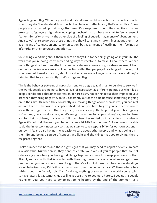Again, huge red flag. When they don't understand how much their actions affect other people, when they don't understand how much their behavior affects you, that's a red flag. Some people are just wired up that way, oftentimes it's a response through the conditions that we grew up in. Again, we might develop coping mechanisms to where we start to feel a sense of fear or inferiority, or we hit the other side of a feeling of superiority, a sense of abandonment. And so, we'll start to portray these things and they'll constantly make things about them, not as a means of connection and communication, but as a means of justifying their feelings of inferiority or their portrayed superiority.

So, making everything about them, where do they fit in to the things going on in your life, the work that you're doing, constantly finding ways to revolve it, to make it about them. We can make things about us in an effort to communicate, we share a story, we share an insight from our own experience as a means of connecting with other people, of teaching, of growing, but when we start to make the story about us and what we are lacking or what we have, and they're bringing that to you constantly, that's a huge red flag.

This is the behavior patterns of narcissism, and to a degree, again, just to be able to survive in the world, people are going to have a level of narcissism at different points. But when it's a deeply conditioned character expression of narcissism, not caring about their impact on your life when they bring negativity to you constantly out of the blue because something is going on in their life. Or when they constantly are making things about themselves, you can rest assured that this behavior is deeply embedded and you have to give yourself permission to allow them to get the help that they need, because clearly, the help that you've been giving isn't enough, because at its core, what's going to continue to happen is they're going to blame you for their problems, this is what folks do when they're tied up in a narcissistic tendency. Again, it's not that they're trying to be that way, 99.999% of the time. But we have to be able to do the inner work necessary so that we start to take responsibility for our own actions in our own life, and also having the audacity to care about other people and what's going on in their life and being a source of support and light and the things that you're giving, they're reciprocating that.

That's number five here, and these eight signs that you may need to adjust or even eliminate a relationship. Number six is, they don't celebrate your wins, if you're people that are not celebrating you when you have good things happen, you need to keep your eyes on that. Alright, and also with that is coupled with, they might even hate on you when you get some progress, or you get some success. Alright, there's a lot of different cultural understandings about haterism now, Kat Williams has a great one, the comedian Kat Williams where he's talking about the fact of, truly, if you're doing anything of success in this world, you're going to have haters, it's automatic. He's telling you to strive to get more haters. If you got 14 people [hating on you, you need to try to get to 16 heaters by the end of the summer. It](https://themodelhealthshow.com/relationship-revolution/)'[s a](https://themodelhealthshow.com/relationship-revolution/)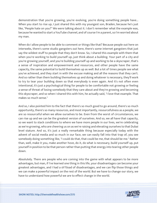demonstration that you're growing, you're evolving, you're doing something people have... When you start to rise up, I just shared this with my youngest son, Braden, because he's just like, "People hate on you?" We were talking about it. I don't remember what the example was, because he wanted to start a YouTube channel, and of course I'm a parent, so I'm worried about my man.

When do I allow people to be able to comment or things like that? Because people out here on interwebs, there's some studio gangsters out here, there's some internet gangsters that just say the wildest stuff to people that they don't know. So, I shared this example with them that when you're working to build yourself up, just think about a building. Your part of a city and you're growing yourself, and you're building yourself up and working to be a skyscraper, that's a sense of inspiration and empowerment and resources, and other people have the same capacity, the same potential to build themselves up as well. But a lot of times people see what you've achieved, and they start in with the excuse making and all the reasons that they can't. And so rather than them building themselves up and doing whatever is necessary, they'll work to try to tear your building down so that everybody is even again. And it's not often even intentional, it's just a psychological thing for people to be comfortable not growing or feeling a sense of threat of losing somebody that they care about and they're growing and becoming this skyscraper, and so when I shared this with him, he actually said, "I love that example. That makes so much sense."

And so, I also pointed him to the fact that there's so much good to go around, there's so much opportunity, there's so many resources, and most importantly, resourcefulness as a people, we are so resourceful when we allow ourselves to be. Even from the worst of circumstances, we can rise up and we can be the greatest version of ourselves. And so, we all have that capacity, so we want to stack conditions to where we have more people in our lives, we're celebrating as we're growing, who are cheering us on as we're raising and elevating ourselves to that Dubai level stature. And so, it's just a really remarkable thing because especially today with the advent of social media and so much in our face, we can easily fall into that trap of, you see somebody doing something like, "I could do that, that could be me, that should be me." Rather than, well, make it you, make another hove, do it, do what is necessary, build yourself up, put yourself in position to be that person rather than putting that energy into tearing other people down.

Absolutely. There are people who are coming into the game with what appears to be more advantages, but man, if I've learned one thing in this life, your disadvantages can become your greatest advantages, and I had a sh\*tload of disadvantages, and we can flip those things and we can make a powerful impact on the rest of the world. But we have to change our story, we have to understand how powerful we are to effect change in the world.

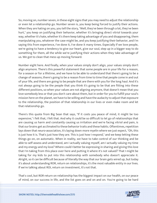So, moving on, number seven, in these eight signs that you may need to adjust the relationship or even let a relationship go. Number seven is, you keep being forced to justify their actions. When they are hating on you, you tell the story, "Well, they've been through a lot, they've been hurt," you keep on justifying their behavior, whether it's bringing direct vitriol towards your way, whether it's hate, whether it's them keep taking advantage of you and disappearing, them manipulating you, whatever the case might be, and you keep justifying their behavior, and I'm saying this from experience, I've done it, I've done it many times. Especially if we love people, we're going to have a tendency to give our heart, give our soul, step up in a bigger way to do something for them, all the while we're justifying their actions when they take advantage of us. We got to clean that mess up moving forward.

Number eight here. And finally, when your values simply don't align, your values simply don't align anymore. There's this powerful statement that some people are in your life for a reason, for a season or for a lifetime, and we have to be able to understand that there's going to be a change of seasons, there's going to be a reason from time to time that people come in and out of your life, and there are going to be people that are there with you for the long haul. And it's not always going to be the people that you think it's going to be that are fitting into these different positions, so when your values are not aligning anymore, that doesn't mean that you love somebody less or that you don't care about them, but in order for you to fulfill your soul's mission here on the planet, we have to be willing and have the audacity to adjust that exposure to the relationship, the position of that relationship in our lives or even make room and let that relationship go.

There's this quote from Big Sean that says, "If it costs you peace of mind, it might be too expensive," I felt that, I felt that. And why it could be so difficult to let go of relationships that are causing us harm and constantly causing us irritation and we're facing vitriol and pain, is that our brains get acclimated to these behavior traits and these habits. Oftentimes, repetition lays down that neuro-association, it's laying down more myelin where we just expect, "Oh, this is just how it is. That's just how they are. This is just how I respond," and we keep letting these things go on, on automatic. When in reality, we have to take control of our thinking and be able to self-assess and understand, am I actually valuing myself, am I actually valuing my time and my energy and my love? Where could I better be expressing in sharing and giving this love that I'm taking from this place over here and putting it where it's not valued? That I might be taking for my kids to put into this relationship with somebody who doesn't appreciate it. Alright, so it can be difficult because of literally the way that our brain gets wired up, but today it's about understanding ROR, return on relationships, it's the most valuable entity in our lives. If we're talking about ROI, return on investment, it's not that.

That's cool, but ROR return on relationship has the biggest impact on our health, on our peace [of mind, on our success in life, and the list goes on and on and on. You](https://themodelhealthshow.com/relationship-revolution/)'[re going to be hard](https://themodelhealthshow.com/relationship-revolution/)